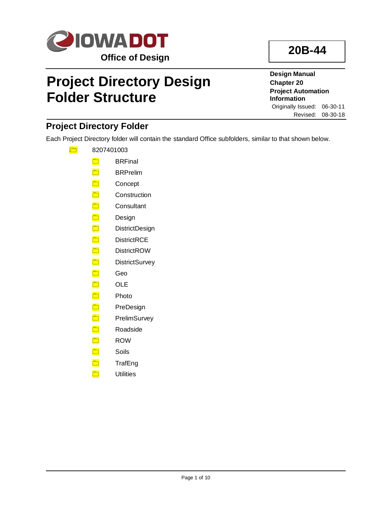

# **Project Directory Design Folder Structure**

**20B-44**

**Design Manual Chapter 20 Project Automation Information** Originally Issued: 06-30-11 Revised: 08-30-18

# **Project Directory Folder**

Each Project Directory folder will contain the standard Office subfolders, similar to that shown below.

- $\frac{1}{\sqrt{2}}$  8207401003
	- **□** BRFinal
	- BRPrelim
	- **Concept**
	- **□** Construction
	- **Consultant**
	- Design
	- DistrictDesign
	- **DistrictRCE**
	- **DistrictROW**
	- **DistrictSurvey**
	- <mark>□</mark> Geo
	- OLE
	- Photo
	- neDesign
	- □ PrelimSurvey
	- Roadside
	- **n** ROW
	- Soils
	- **TrafEng**
	- **n** Utilities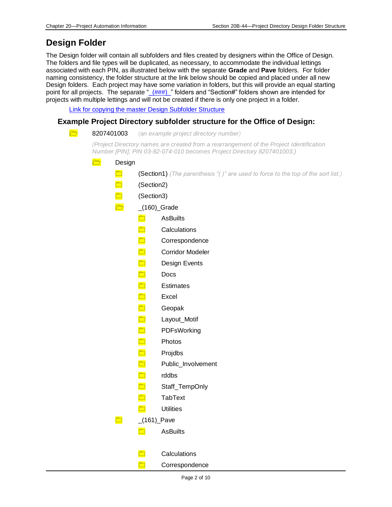# **Design Folder**

The Design folder will contain all subfolders and files created by designers within the Office of Design. The folders and file types will be duplicated, as necessary, to accommodate the individual lettings associated with each PIN, as illustrated below with the separate **Grade** and **Pave** folders. For folder naming consistency, the folder structure at the link below should be copied and placed under all new Design folders. Each project may have some variation in folders, but this will provide an equal starting point for all projects. The separate ["\\_\(###\)\\_"](#page-7-0) folders and "Section#" folders shown are intended for projects with multiple lettings and will not be created if there is only one project in a folder.

[Link for copying the master Design Subfolder Structure](../openroads/OpenRoads.zip)

# **Example Project Directory subfolder structure for the Office of Design:**

| $\Box$<br>8207401003    | (an example project directory number)                                                                                                                             |  |
|-------------------------|-------------------------------------------------------------------------------------------------------------------------------------------------------------------|--|
|                         | (Project Directory names are created from a rearrangement of the Project Identification<br>Number [PIN]; PIN 03-82-074-010 becomes Project Directory 8207401003.) |  |
| $\Box$<br>Design        |                                                                                                                                                                   |  |
|                         | (Section1) (The parenthesis "()" are used to force to the top of the sort list.)                                                                                  |  |
| $\Box$                  | (Section2)                                                                                                                                                        |  |
| $\Box$                  | (Section3)                                                                                                                                                        |  |
| $\overline{\mathbb{C}}$ | $(160)$ <sub>C</sub> rade                                                                                                                                         |  |
|                         | $\Box$<br><b>AsBuilts</b>                                                                                                                                         |  |
|                         | $\Box$<br>Calculations                                                                                                                                            |  |
|                         | $\Box$<br>Correspondence                                                                                                                                          |  |
|                         | $\Box$<br><b>Corridor Modeler</b>                                                                                                                                 |  |
|                         | $\Box$<br>Design Events                                                                                                                                           |  |
|                         | $\Box$<br>Docs                                                                                                                                                    |  |
|                         | $\Box$<br><b>Estimates</b>                                                                                                                                        |  |
|                         | $\Box$<br>Excel                                                                                                                                                   |  |
|                         | $\Box$<br>Geopak                                                                                                                                                  |  |
|                         | $\Box$<br>Layout_Motif                                                                                                                                            |  |
|                         | $\Box$<br>PDFsWorking                                                                                                                                             |  |
|                         | $\Box$<br>Photos                                                                                                                                                  |  |
|                         | $\Box$<br>Projdbs                                                                                                                                                 |  |
|                         | $\Box$<br>Public_Involvement                                                                                                                                      |  |
|                         | $\Box$<br>rddbs                                                                                                                                                   |  |
|                         | $\Box$<br>Staff_TempOnly                                                                                                                                          |  |
|                         | <b>TabText</b>                                                                                                                                                    |  |
|                         | <b>Utilities</b>                                                                                                                                                  |  |
|                         | $(161)$ <sup>Pave</sup>                                                                                                                                           |  |
|                         | <b>AsBuilts</b>                                                                                                                                                   |  |
|                         |                                                                                                                                                                   |  |
|                         | Calculations                                                                                                                                                      |  |
|                         | Correspondence                                                                                                                                                    |  |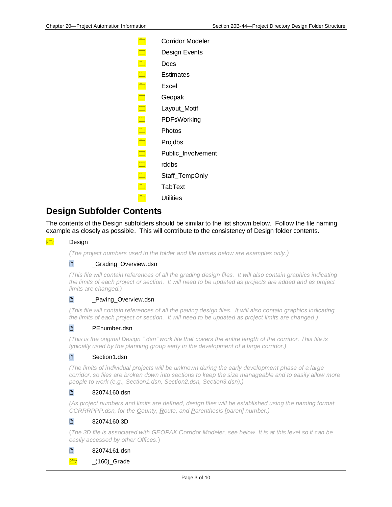| Corridor Modeler   |
|--------------------|
| Design Events      |
| Docs               |
| Estimates          |
| Excel              |
| Geopak             |
| Layout_Motif       |
| PDFsWorking        |
| Photos             |
| Projdbs            |
| Public Involvement |
| rddbs              |
| Staff_TempOnly     |
| TabText            |
| <b>Utilities</b>   |
|                    |

# **Design Subfolder Contents**

The contents of the Design subfolders should be similar to the list shown below. Follow the file naming example as closely as possible. This will contribute to the consistency of Design folder contents.

### **Design**

*(The project numbers used in the folder and file names below are examples only.)*

# D \_Grading\_Overview.dsn

*(This file will contain references of all the grading design files. It will also contain graphics indicating the limits of each project or section. It will need to be updated as projects are added and as project limits are changed.)*

# D<sub>Paving</sub>\_Overview.dsn

*(This file will contain references of all the paving design files. It will also contain graphics indicating the limits of each project or section. It will need to be updated as project limits are changed.)*

#### D<sub>PEnumber.dsn</sub>

*(This is the original Design ".dsn" work file that covers the entire length of the corridor. This file is typically used by the planning group early in the development of a large corridor.)*

#### D Section1.dsn

*(The limits of individual projects will be unknown during the early development phase of a large corridor, so files are broken down into sections to keep the size manageable and to easily allow more people to work (e.g., Section1.dsn, Section2.dsn, Section3.dsn).)*

# Pullet 82074160.dsn

*(As project numbers and limits are defined, design files will be established using the naming format CCRRRPPP.dsn, for the County, Route, and Parenthesis [paren] number.)*

# P 82074160.3D

(*The 3D file is associated with GEOPAK Corridor Modeler, see below. It is at this level so it can be easily accessed by other Offices.*)

### 82074161.dsn

 $\Box$   $(160)$  Grade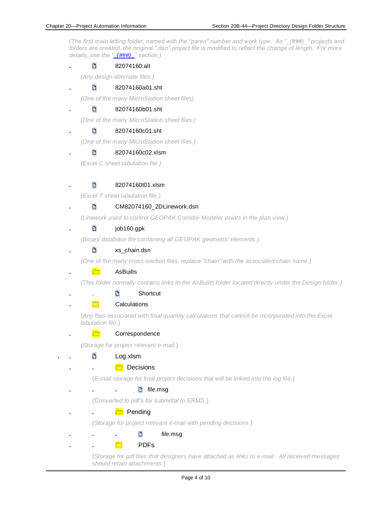*(The first main letting folder, named with the "paren" number and work type. As "\_(###)\_" projects and folders are created, the original ".dsn" project file is modified to reflect the change of length. For more details, see the ["\\_\(###\)\\_"](#page-7-0) section.)*

## **.** 82074160.alt

*(Any design alternate files.)*

### **.** 82074160a01.sht

*(One of the many MicroStation sheet files)*

## **.** 82074160b01.sht

*(One of the many MicroStation sheet files.)*

#### **.** 82074160c01.sht

*(One of the many MicroStation sheet files.)*

#### **.** 82074160c02.xlsm

*(Excel C sheet tabulation file.)*

### **.** 82074160t01.xlsm

*(Excel T sheet tabulation file.)*

### **.** CM82074160\_2DLinework.dsn

*(Linework used to control GEOPAK Corridor Modeler points in the plan view.)*

### **.** job160.gpk

*(Binary database file containing all GEOPAK geometric elements.)*

#### **.** xs\_*chain*.dsn

*(One of the many cross-section files, replace "chain" with the associated chain name.)*

#### **.** AsBuilts

*(This folder normally contains links to the AsBuilts folder located directly under the Design folder.)*

### **.** . Shortcut

#### **h. Calculations**

(*Any files associated with final quantity calculations that cannot be incorporated into the Excel tabulation file.*)

#### **htm Correspondence**

(*Storage for project relevant e-mail.*)

#### **. .** Log.xlsm

#### **. .** Decisions

(*E-mail storage for final project decisions that will be linked into the log file.*)

#### **. . .** *file*.msg

(C*onverted to pdf's for submittal to ERMS.*)

#### **. .** Pending

*(Storage for project relevant e-mail with pending decisions.*)

# **. . .** *file*.msg

**. .** PDFs

(*Storage for pdf files that designers have attached as links to e-mail. All received messages should retain attachments.*)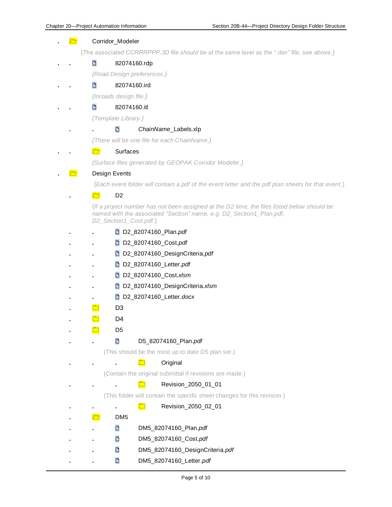# **.** <del>面</del> Corridor Modeler (*The associated CCRRRPPP.3D file should be at the same level as the ".dsn" file, see above.*) **. .** 82074160.rdp *(Road Design preferences.)* **. .** 82074160.ird *(Inroads design file.)* **. .** 82074160.itl *(Template Library.)* **. .** *ChainName*\_Labels.xlp *(There will be one file for each ChainName.)* **. .** Surfaces *(Surface files generated by GEOPAK Corridor Modeler.) <b>b* **Design Events** (*Each event folder will contain a pdf of the event letter and the pdf plan sheets for that event.*) **.** D2 (*If a project number has not been assigned at the D2 time, the files listed below should be named with the associated "Section" name, e.g. D2\_Section1\_Plan.pdf, D2\_Section1\_Cost.pdf.*) **. .** D2\_82074160\_Plan.*pdf* **. .** D2\_82074160\_Cost.*pdf* **. .** D2\_82074160\_DesignCriteria.*pdf* **. .** D2\_82074160\_Letter.*pdf* **. .** D2\_82074160\_Cost.*xlsm* **. .** D2\_82074160\_DesignCriteria.*xlsm* **. .** D2\_82074160\_Letter.*docx* **.** D3 **.** D4 **.** D5 **. .** D5\_82074160\_Plan.*pdf* (This should be the most up to date D5 plan set.) **. . .** Original (Contain the original submittal if revisions are made.) **1 Revision** 2050 01 01 (This folder will contain the specific sheet changes for this revision.) **. . .** Revision\_2050\_02\_01 **.** DM5 **. .** DM5\_82074160\_Plan.*pdf* **. .** DM5\_82074160\_Cost.*pdf* **. .** DM5\_82074160\_DesignCriteria.*pdf*

**. .** DM5\_82074160\_Letter.*pdf*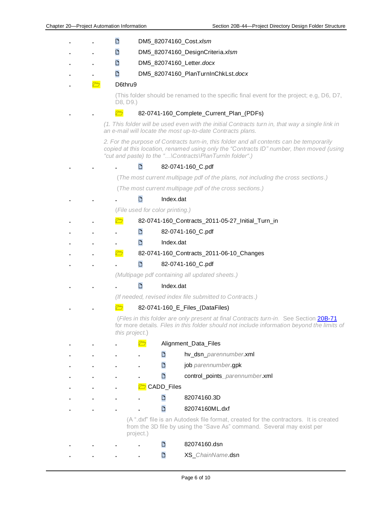**. .** DM5\_82074160\_Cost.*xlsm* **. .** DM5\_82074160\_DesignCriteria.*xlsm* **. .** DM5\_82074160\_Letter.*docx* **. .** DM5\_82074160\_PlanTurnInChkLst.*docx* **.** D6thru9 (This folder should be renamed to the specific final event for the project; e.g, D6, D7, D8, D9.) **<u>2</u>** 82-0741-160 Complete Current Plan (PDFs) *(1. This folder will be used even with the initial Contracts turn in, that way a single link in an e-mail will locate the most up-to-date Contracts plans. 2. For the purpose of Contracts turn-in, this folder and all contents can be temporarily copied at this location, renamed using only the "Contracts ID" number, then moved (using "cut and paste) to the "…\Contracts\PlanTurnIn folder".)* **. . .** 82-0741-160\_C.pdf (*The most current multipage pdf of the plans, not including the cross sections.)* (*The most current multipage pdf of the cross sections.)* **. . .** Index.dat (*File used for color printing.)* **<u>7</u>** 82-0741-160\_Contracts\_2011-05-27\_Initial\_Turn\_in **. . .** 82-0741-160\_C.pdf **. . .** Index.dat **. . . .** *.* **<b>3**2-0741-160 Contracts 2011-06-10 Changes **. . .** 82-0741-160\_C.pdf *(Multipage pdf containing all updated sheets.)* **. . .** Index.dat *(If needed, revised index file submitted to Contracts.)* **. . . 62-0741-160\_E\_Files\_(DataFiles)** (*Files in this folder are only present at final Contracts turn-in*. See Section [20B-71](20B-71.pdf) for more details*. Files in this folder should not include information beyond the limits of this project.*) **. . .** Alignment\_Data\_Files **. . . .** hv\_dsn\_*parennumber*.xml **. . . .** job *parennumber*.gpk **. . . .** control\_points*\_parennumber*.xml **. . .** CADD\_Files **. . . .** 82074160.3D **. . . .** 82074160ML.dxf (A ".dxf" file is an Autodesk file format, created for the contractors. It is created from the 3D file by using the "Save As" command. Several may exist per project.) **. . . .** 82074160.dsn **. . . .** XS\_*ChainName*.dsn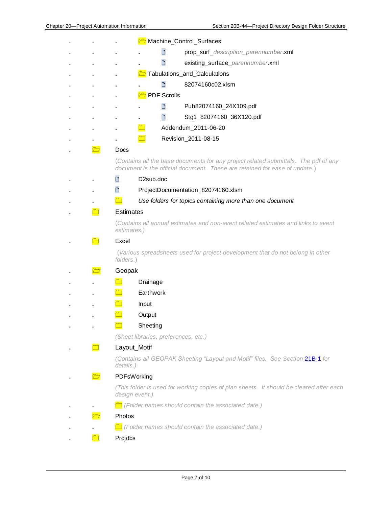|   | Machine_Control_Surfaces                                                                                                                                          |
|---|-------------------------------------------------------------------------------------------------------------------------------------------------------------------|
|   | D<br>prop_surf_description_parennumber.xml                                                                                                                        |
|   | D<br>existing_surface_parennumber.xml                                                                                                                             |
|   | Tabulations_and_Calculations                                                                                                                                      |
|   | D<br>82074160c02.xlsm                                                                                                                                             |
|   | <b>T</b> PDF Scrolls                                                                                                                                              |
|   | D<br>Pub82074160_24X109.pdf                                                                                                                                       |
|   | D<br>Stg1_82074160_36X120.pdf                                                                                                                                     |
|   | Addendum_2011-06-20                                                                                                                                               |
|   | Revision_2011-08-15                                                                                                                                               |
| Ò | Docs                                                                                                                                                              |
|   | (Contains all the base documents for any project related submittals. The pdf of any<br>document is the official document. These are retained for ease of update.) |
|   | D <sub>2</sub> sub.doc<br>D                                                                                                                                       |
|   | D<br>ProjectDocumentation_82074160.xlsm                                                                                                                           |
|   | $\Box$<br>Use folders for topics containing more than one document                                                                                                |
|   | <b>Estimates</b>                                                                                                                                                  |
|   | (Contains all annual estimates and non-event related estimates and links to event<br>estimates.)                                                                  |
|   | Excel                                                                                                                                                             |
|   | (Various spreadsheets used for project development that do not belong in other<br>folders.)                                                                       |
|   | Geopak                                                                                                                                                            |
|   | Drainage                                                                                                                                                          |
|   | Earthwork                                                                                                                                                         |
|   | Input                                                                                                                                                             |
|   | Output                                                                                                                                                            |
|   | Sheeting                                                                                                                                                          |
|   | (Sheet libraries, preferences, etc.)                                                                                                                              |
|   | Layout_Motif                                                                                                                                                      |
|   | (Contains all GEOPAK Sheeting "Layout and Motif" files. See Section 21B-1 for<br>details.)                                                                        |
|   | PDFsWorking                                                                                                                                                       |
|   | (This folder is used for working copies of plan sheets. It should be cleared after each<br>design event.)                                                         |
|   | $\Box$ (Folder names should contain the associated date.)                                                                                                         |
|   | <b>Photos</b>                                                                                                                                                     |
|   | Folder names should contain the associated date.)                                                                                                                 |
|   | Projdbs                                                                                                                                                           |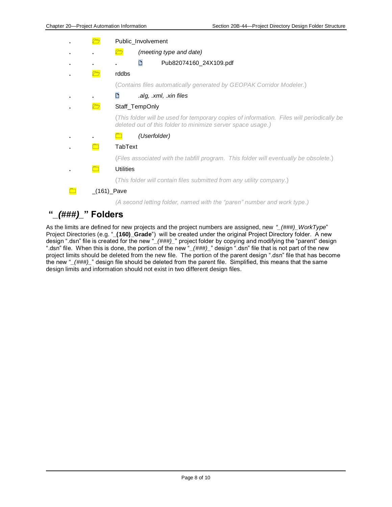|              | Public_Involvement                                                                                                                                       |
|--------------|----------------------------------------------------------------------------------------------------------------------------------------------------------|
|              | $\Box$<br>(meeting type and date)                                                                                                                        |
|              | D<br>Pub82074160_24X109.pdf                                                                                                                              |
| $\Box$       | rddbs                                                                                                                                                    |
|              | (Contains files automatically generated by GEOPAK Corridor Modeler.)                                                                                     |
|              | .alg, .xml, .xin files<br>n                                                                                                                              |
| $\bar{\Box}$ | Staff_TempOnly                                                                                                                                           |
|              | (This folder will be used for temporary copies of information. Files will periodically be<br>deleted out of this folder to minimize server space usage.) |
|              | (Userfolder)                                                                                                                                             |
|              | TabText                                                                                                                                                  |
|              | (Files associated with the tabfill program. This folder will eventually be obsolete.)                                                                    |
|              | <b>Utilities</b>                                                                                                                                         |
|              | (This folder will contain files submitted from any utility company.)                                                                                     |
|              | $(161)$ Pave                                                                                                                                             |
|              | (A second letting folder, named with the "paren" number and work type.)                                                                                  |

# <span id="page-7-0"></span>**"***\_(###)\_***" Folders**

As the limits are defined for new projects and the project numbers are assigned, new *"\_(###)\_WorkType*" Project Directories (e.g. "**\_(160)\_Grade**") will be created under the original Project Directory folder. A new design ".dsn" file is created for the new "*\_(###)\_*" project folder by copying and modifying the "parent" design ".dsn" file. When this is done, the portion of the new "*\_(###)\_*" design ".dsn" file that is not part of the new project limits should be deleted from the new file. The portion of the parent design ".dsn" file that has become the new "*\_(###)\_*" design file should be deleted from the parent file. Simplified, this means that the same design limits and information should not exist in two different design files.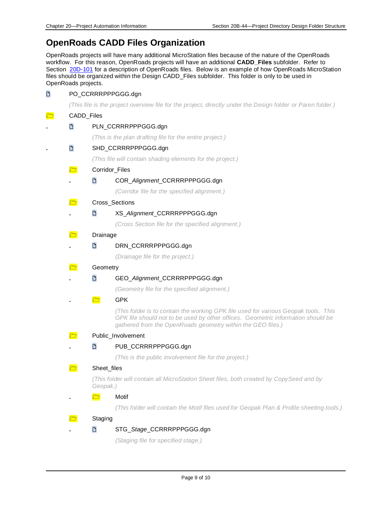# **OpenRoads CADD Files Organization**

OpenRoads projects will have many additional MicroStation files because of the nature of the OpenRoads workflow. For this reason, OpenRoads projects will have an additional **CADD\_Files** subfolder. Refer to Section [20D-101](20D-101.pdf) for a description of OpenRoads files. Below is an example of how OpenRoads MicroStation files should be organized within the Design CADD\_Files subfolder. This folder is only to be used in OpenRoads projects.

| D      |                         | PO_CCRRRPPPGGG.dgn                                                                                                                                                                                                                     |
|--------|-------------------------|----------------------------------------------------------------------------------------------------------------------------------------------------------------------------------------------------------------------------------------|
|        |                         | (This file is the project overview file for the project, directly under the Design folder or Paren folder.)                                                                                                                            |
| $\Box$ | CADD_Files              |                                                                                                                                                                                                                                        |
|        | D                       | PLN_CCRRRPPPGGG.dgn                                                                                                                                                                                                                    |
|        |                         | (This is the plan drafting file for the entire project.)                                                                                                                                                                               |
|        | $\Box$                  | SHD_CCRRRPPPGGG.dgn                                                                                                                                                                                                                    |
|        |                         | (This file will contain shading elements for the project.)                                                                                                                                                                             |
|        | $\overline{\mathbb{C}}$ | Corridor_Files                                                                                                                                                                                                                         |
|        |                         | D<br>COR_Alignment_CCRRRPPPGGG.dgn                                                                                                                                                                                                     |
|        |                         | (Corridor file for the specified alignment.)                                                                                                                                                                                           |
|        | $\Box$                  | Cross_Sections                                                                                                                                                                                                                         |
|        |                         | ै<br>XS_Alignment_CCRRRPPPGGG.dgn                                                                                                                                                                                                      |
|        |                         | (Cross Section file for the specified alignment.)                                                                                                                                                                                      |
|        | $\overline{\mathbb{C}}$ | Drainage                                                                                                                                                                                                                               |
|        |                         | D<br>DRN_CCRRRPPPGGG.dgn                                                                                                                                                                                                               |
|        |                         | (Drainage file for the project.)                                                                                                                                                                                                       |
|        | $\Box$                  | Geometry                                                                                                                                                                                                                               |
|        |                         | D<br>GEO_Alignment_CCRRRPPPGGG.dgn                                                                                                                                                                                                     |
|        |                         | (Geometry file for the specified alignment.)                                                                                                                                                                                           |
|        |                         | <b>GPK</b><br>$\Box$                                                                                                                                                                                                                   |
|        |                         | (This folder is to contain the working GPK file used for various Geopak tools. This<br>GPK file should not to be used by other offices. Geometric information should be<br>gathered from the OpenRoads geometry within the GEO files.) |
|        | $\overline{\mathbb{C}}$ | Public_Involvement                                                                                                                                                                                                                     |
|        |                         | $\Box$<br>PUB_CCRRRPPPGGG.dgn                                                                                                                                                                                                          |
|        |                         | (This is the public involvement file for the project.)                                                                                                                                                                                 |
|        |                         | Sheet_files                                                                                                                                                                                                                            |
|        |                         | (This folder will contain all MicroStation Sheet files, both created by CopySeed and by<br>Geopak.)                                                                                                                                    |
|        |                         | $\overline{\mathcal{C}}$<br>Motif                                                                                                                                                                                                      |
|        |                         | (This folder will contain the Motif files used for Geopak Plan & Profile sheeting tools.)                                                                                                                                              |
|        |                         | Staging                                                                                                                                                                                                                                |
|        |                         | D<br>STG_Stage_CCRRRPPPGGG.dgn                                                                                                                                                                                                         |
|        |                         | (Staging file for specified stage.)                                                                                                                                                                                                    |
|        |                         |                                                                                                                                                                                                                                        |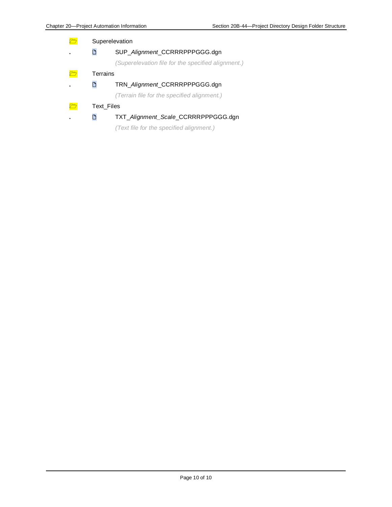Superelevation **.** SUP\_*Alignment*\_CCRRRPPPGGG.dgn *(Superelevation file for the specified alignment.)* **n**<br>Terrains **.** TRN\_*Alignment*\_CCRRRPPPGGG.dgn *(Terrain file for the specified alignment.)* Text\_Files

# **.** TXT\_*Alignment\_Scale*\_CCRRRPPPGGG.dgn

*(Text file for the specified alignment.)*